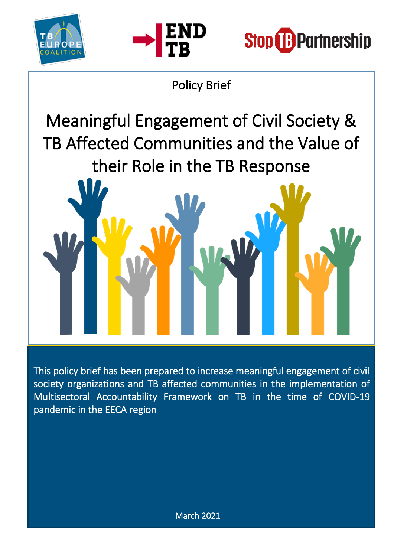





# Policy Brief

Meaningful Engagement of Civil Society & TB Affected Communities and the Value of their Role in the TB Response

This policy brief has been prepared to increase meaningful engagement of civil society organizations and TB affected communities in the implementation of Multisectoral Accountability Framework on TB in the time of COVID-19 pandemic in the EECA region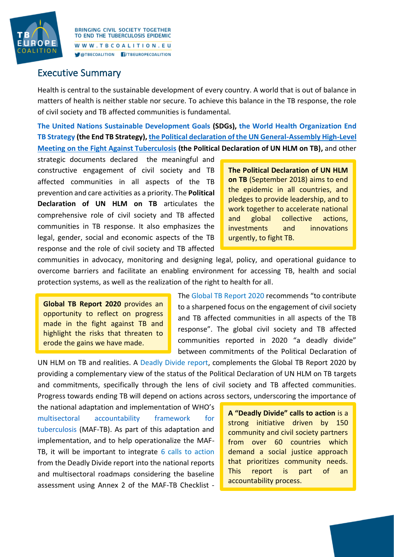

#### Executive Summary

Health is central to the sustainable development of every country. A world that is out of balance in matters of health is neither stable nor secure. To achieve this balance in the TB response, the role of civil society and TB affected communities is fundamental.

**[The United Nations Sustainable Development Goals](https://www.un.org/sustainabledevelopment/sustainable-development-goals/) (SDGs), the [World Health Organization](https://www.who.int/tb/End_TB_brochure.pdf?ua=1) End [TB Strategy](https://www.who.int/tb/End_TB_brochure.pdf?ua=1) (the End TB Strategy)[, the Political declaration of the UN General-Assembly High-Level](https://www.who.int/publications/m/item/political-declaration-of-the-un-general-assembly-high-level-meeting-on-the-fight-against-tuberculosis)  [Meeting on the Fight Against Tuberculosis](https://www.who.int/publications/m/item/political-declaration-of-the-un-general-assembly-high-level-meeting-on-the-fight-against-tuberculosis) (the Political Declaration of UN HLM on TB),** and other

strategic documents declared the meaningful and constructive engagement of civil society and TB affected communities in all aspects of the TB prevention and care activities as a priority. The **Political Declaration of UN HLM on TB** articulates the comprehensive role of civil society and TB affected communities in TB response. It also emphasizes the legal, gender, social and economic aspects of the TB response and the role of civil society and TB affected

**The Political Declaration of UN HLM on TB** (September 2018) aims to end the epidemic in all countries, and pledges to provide leadership, and to work together to accelerate national and global collective actions, investments and innovations urgently, to fight TB.

communities in advocacy, monitoring and designing legal, policy, and operational guidance to overcome barriers and facilitate an enabling environment for accessing TB, health and social protection systems, as well as the realization of the right to health for all.

**Global TB Report 2020** provides an opportunity to reflect on progress made in the fight against TB and highlight the risks that threaten to erode the gains we have made.

The [Global TB Report 2020](https://apps.who.int/iris/bitstream/handle/10665/336069/9789240013131-eng.pdf) recommends "to contribute to a sharpened focus on the engagement of civil society and TB affected communities in all aspects of the TB response". The global civil society and TB affected communities reported in 2020 "a deadly divide" between commitments of the Political Declaration of

UN HLM on TB and realities. A [Deadly Divide report,](http://www.stoptb.org/assets/documents/communities/The%20Deadly%20Divide_TB%20Commitments%20vs%20TB%20Realities%20FINAL%20HLM%20Report.pdf) complements the Global TB Report 2020 by providing a complementary view of the status of the Political Declaration of UN HLM on TB targets and commitments, specifically through the lens of civil society and TB affected communities. Progress towards ending TB will depend on actions across sectors, underscoring the importance of

the national adaptation and implementation of WHO's [multisectoral accountability framework for](https://www.who.int/tb/WHO_Multisectoral_Framework_web.pdf?ua=1)  [tuberculosis](https://www.who.int/tb/WHO_Multisectoral_Framework_web.pdf?ua=1) (MAF-TB). As part of this adaptation and implementation, and to help operationalize the MAF-TB, it will be important to integrate [6 calls to action](http://www.stoptb.org/assets/documents/communities/20262_DeadlyDivide_CallToAction-EN_v03_RC.pdf) from the Deadly Divide report into the national reports and multisectoral roadmaps considering the baseline assessment using Annex 2 of the MAF-TB Checklist -

**A "Deadly Divide" calls to action** is a strong initiative driven by 150 community and civil society partners from over 60 countries which demand a social justice approach that prioritizes community needs. This report is part of an accountability process.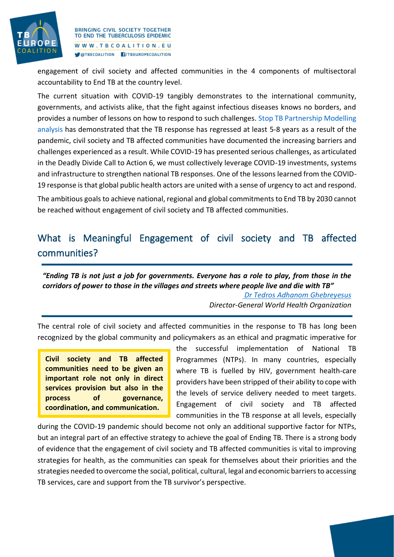

engagement of civil society and affected communities in the 4 components of multisectoral accountability to End TB at the country level.

The current situation with COVID-19 tangibly demonstrates to the international community, governments, and activists alike, that the fight against infectious diseases knows no borders, and provides a number of lessons on how to respond to such challenges. [Stop TB Partnership Modelling](http://www.stoptb.org/assets/documents/covid/TB%20and%20COVID19_Modelling%20Study_5%20May%202020.pdf)  [analysis](http://www.stoptb.org/assets/documents/covid/TB%20and%20COVID19_Modelling%20Study_5%20May%202020.pdf) has demonstrated that the TB response has regressed at least 5-8 years as a result of the pandemic, civil society and TB affected communities have documented the increasing barriers and challenges experienced as a result. While COVID-19 has presented serious challenges, as articulated in the Deadly Divide Call to Action 6, we must collectively leverage COVID-19 investments, systems and infrastructure to strengthen national TB responses. One of the lessons learned from the COVID-19 response is that global public health actors are united with a sense of urgency to act and respond.

The ambitious goals to achieve national, regional and global commitments to End TB by 2030 cannot be reached without engagement of civil society and TB affected communities.

### What is Meaningful Engagement of civil society and TB affected communities?

*"Ending TB is not just a job for governments. Everyone has a role to play, from those in the corridors of power to those in the villages and streets where people live and die with TB" [Dr Tedros Adhanom Ghebreyesus](https://apps.who.int/iris/bitstream/handle/10665/336069/9789240013131-eng.pdf)*

*Director-General World Health Organization*

The central role of civil society and affected communities in the response to TB has long been recognized by the global community and policymakers as an ethical and pragmatic imperative for

**Civil society and TB affected communities need to be given an important role not only in direct services provision but also in the process of governance, coordination, and communication.**

the successful implementation of National TB Programmes (NTPs). In many countries, especially where TB is fuelled by HIV, government health-care providers have been stripped of their ability to cope with the levels of service delivery needed to meet targets. Engagement of civil society and TB affected communities in the TB response at all levels, especially

during the COVID-19 pandemic should become not only an additional supportive factor for NTPs, but an integral part of an effective strategy to achieve the goal of Ending TB. There is a strong body of evidence that the engagement of civil society and TB affected communities is vital to improving strategies for health, as the communities can speak for themselves about their priorities and the strategies needed to overcome the social, political, cultural, legal and economic barriers to accessing TB services, care and support from the TB survivor's perspective.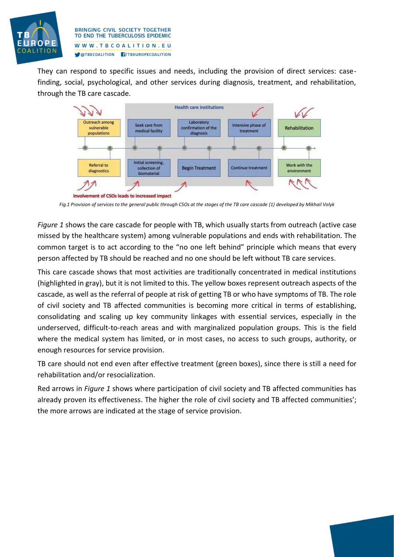

They can respond to specific issues and needs, including the provision of direct services: casefinding, social, psychological, and other services during diagnosis, treatment, and rehabilitation, through the TB care cascade.



*Fig.1 Provision of services to the general public through CSOs at the stages of the TB care cascade (1) developed by Mikhail Volyk*

*Figure 1* shows the care cascade for people with TB, which usually starts from outreach (active case missed by the healthcare system) among vulnerable populations and ends with rehabilitation. The common target is to act according to the "no one left behind" principle which means that every person affected by TB should be reached and no one should be left without TB care services.

This care cascade shows that most activities are traditionally concentrated in medical institutions (highlighted in gray), but it is not limited to this. The yellow boxes represent outreach aspects of the cascade, as well as the referral of people at risk of getting TB or who have symptoms of TB. The role of civil society and TB affected communities is becoming more critical in terms of establishing, consolidating and scaling up key community linkages with essential services, especially in the underserved, difficult-to-reach areas and with marginalized population groups. This is the field where the medical system has limited, or in most cases, no access to such groups, authority, or enough resources for service provision.

TB care should not end even after effective treatment (green boxes), since there is still a need for rehabilitation and/or resocialization.

Red arrows in *Figure 1* shows where participation of civil society and TB affected communities has already proven its effectiveness. The higher the role of civil society and TB affected communities'; the more arrows are indicated at the stage of service provision.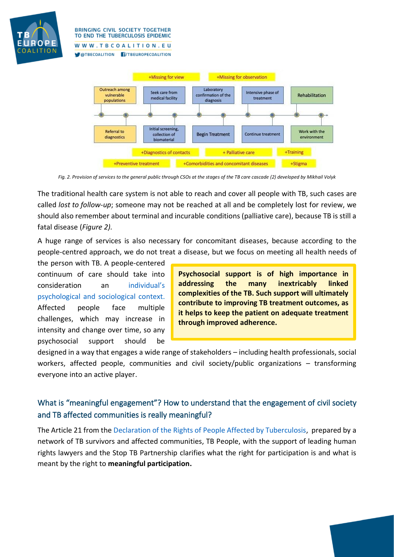

**BRINGING CIVIL SOCIETY TOGETHER** TO END THE TUBERCULOSIS EPIDEMIC WWW.TBCOALITION.EU

OTBECOALITION F/TBEUROPECOALITION



*Fig. 2. Provision of services to the general public through CSOs at the stages of the TB care cascade (2) developed by Mikhail Volyk*

The traditional health care system is not able to reach and cover all people with TB, such cases are called *lost to follow-up*; someone may not be reached at all and be completely lost for review, we should also remember about terminal and incurable conditions (palliative care), because TB is still a fatal disease (*Figure 2).*

A huge range of services is also necessary for concomitant diseases, because according to the [people-centred approach,](https://www.euro.who.int/__data/assets/pdf_file/0004/342373/TB_Content_WHO_PRO_eng_final.pdf) we do not treat a disease, but we focus on meeting all health needs of

the person with TB. A people-centered continuum of care should take into consideration an [individual's](https://apps.who.int/iris/bitstream/handle/10665/339432/WHO-EURO-2020-1345-41095-55826-eng.pdf)  [psychological and sociological context.](https://apps.who.int/iris/bitstream/handle/10665/339432/WHO-EURO-2020-1345-41095-55826-eng.pdf) Affected people face multiple challenges, which may increase in intensity and change over time, so any psychosocial support should be

**Psychosocial support is of high importance in addressing the many inextricably linked complexities of the TB. Such support will ultimately contribute to improving TB treatment outcomes, as it helps to keep the patient on adequate treatment through improved adherence.** 

designed in a way that engages a wide range of stakeholders – including health professionals, social workers, affected people, communities and civil society/public organizations – transforming everyone into an active player.

#### What is "meaningful engagement"? How to understand that the engagement of civil society and TB affected communities is really meaningful?

The Article 21 from the [Declaration of the Rights of People Affected by Tuberculosis,](http://www.stoptb.org/assets/documents/communities/FINAL%20Declaration%20on%20the%20Right%20of%20People%20Affected%20by%20TB%2013.05.2019.pdf) prepared by a network of TB survivors and affected communities, TB People, with the support of leading human rights lawyers and the Stop TB Partnership clarifies what the right for participation is and what is meant by the right to **meaningful participation.**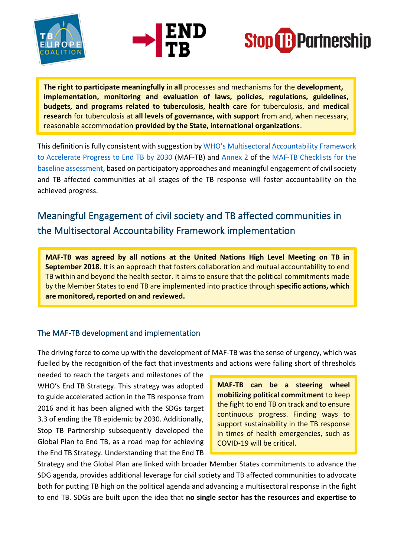





**The right to participate meaningfully** in **all** processes and mechanisms for the **development, implementation, monitoring and evaluation of laws, policies, regulations, guidelines, budgets, and programs related to tuberculosis, health care** for tuberculosis, and **medical research** for tuberculosis at **all levels of governance, with support** from and, when necessary, reasonable accommodation **provided by the State, international organizations**.

This definition is fully consistent with suggestion by [WHO's Multisectoral Accountability Framework](https://www.who.int/tb/WHO_Multisectoral_Framework_web.pdf?ua=1)  [to Accelerate Progress to End TB by 2030](https://www.who.int/tb/WHO_Multisectoral_Framework_web.pdf?ua=1) (MAF-TB) and [Annex 2](https://www.who.int/tb/publications/MAF_TB_Checklist_Annexes-Form-Final.pdf?ua=1) of the [MAF-TB Checklists for the](https://www.who.int/tb/publications/WHO_MAFTB_Checklist_Form-Final.pdf)  [baseline assessment,](https://www.who.int/tb/publications/WHO_MAFTB_Checklist_Form-Final.pdf) based on participatory approaches and meaningful engagement of civil society and TB affected communities at all stages of the TB response will foster accountability on the achieved progress.

## Meaningful Engagement of civil society and TB affected communities in the Multisectoral Accountability Framework implementation

**MAF-TB was agreed by all notions at the United Nations High Level Meeting on TB in September 2018.** It is an approach that fosters collaboration and mutual accountability to end TB within and beyond the health sector. It aims to ensure that the political commitments made by the Member States to end TB are implemented into practice through **specific actions, which are monitored, reported on and reviewed.**

#### The MAF-TB development and implementation

The driving force to come up with the development of MAF-TB was the sense of urgency, which was fuelled by the recognition of the fact that investments and actions were falling short of thresholds

needed to reach the targets and milestones of the WHO's End TB Strategy. This strategy was adopted to guide accelerated action in the TB response from 2016 and it has been aligned with the SDGs target 3.3 of ending the TB epidemic by 2030. Additionally, Stop TB Partnership subsequently developed the Global Plan to End TB, as a road map for achieving the End TB Strategy. Understanding that the End TB

**MAF-TB can be a steering wheel mobilizing political commitment** to keep the fight to end TB on track and to ensure continuous progress. Finding ways to support sustainability in the TB response in times of health emergencies, such as COVID-19 will be critical.

Strategy and the Global Plan are linked with broader Member States commitments to advance the SDG agenda, provides additional leverage for civil society and TB affected communities to advocate both for putting TB high on the political agenda and advancing a multisectoral response in the fight to end TB. SDGs are built upon the idea that **no single sector has the resources and expertise to**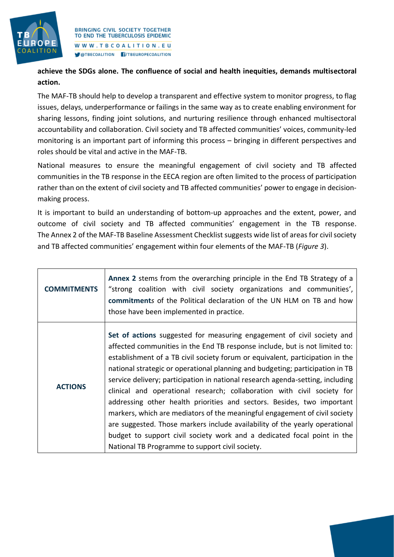

**achieve the SDGs alone. The confluence of social and health inequities, demands multisectoral action.**

The MAF-TB should help to develop a transparent and effective system to monitor progress, to flag issues, delays, underperformance or failings in the same way as to create enabling environment for sharing lessons, finding joint solutions, and nurturing resilience through enhanced multisectoral accountability and collaboration. Civil society and TB affected communities' voices, community-led monitoring is an important part of informing this process – bringing in different perspectives and roles should be vital and active in the MAF-TB.

National measures to ensure the meaningful engagement of civil society and TB affected communities in the TB response in the EECA region are often limited to the process of participation rather than on the extent of civil society and TB affected communities' power to engage in decisionmaking process.

It is important to build an understanding of bottom-up approaches and the extent, power, and outcome of civil society and TB affected communities' engagement in the TB response. The Annex 2 of the MAF-TB Baseline Assessment Checklist suggests wide list of areas for civil society and TB affected communities' engagement within four elements of the MAF-TB (*Figure 3*).

| <b>COMMITMENTS</b> | Annex 2 stems from the overarching principle in the End TB Strategy of a<br>"strong coalition with civil society organizations and communities',<br>commitments of the Political declaration of the UN HLM on TB and how<br>those have been implemented in practice.                                                                                                                                                                                                                                                                                                                                                                                                                                                                                                                                                                                      |
|--------------------|-----------------------------------------------------------------------------------------------------------------------------------------------------------------------------------------------------------------------------------------------------------------------------------------------------------------------------------------------------------------------------------------------------------------------------------------------------------------------------------------------------------------------------------------------------------------------------------------------------------------------------------------------------------------------------------------------------------------------------------------------------------------------------------------------------------------------------------------------------------|
| <b>ACTIONS</b>     | Set of actions suggested for measuring engagement of civil society and<br>affected communities in the End TB response include, but is not limited to:<br>establishment of a TB civil society forum or equivalent, participation in the<br>national strategic or operational planning and budgeting; participation in TB<br>service delivery; participation in national research agenda-setting, including<br>clinical and operational research; collaboration with civil society for<br>addressing other health priorities and sectors. Besides, two important<br>markers, which are mediators of the meaningful engagement of civil society<br>are suggested. Those markers include availability of the yearly operational<br>budget to support civil society work and a dedicated focal point in the<br>National TB Programme to support civil society. |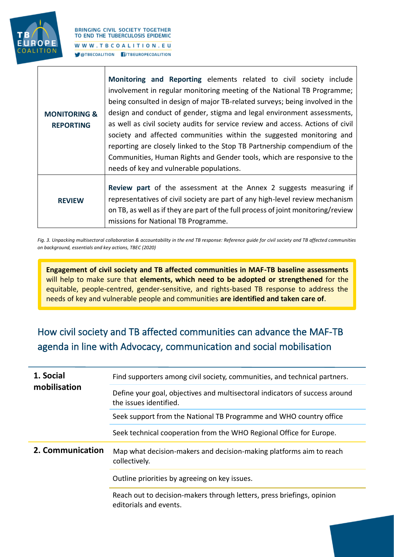

|                         | Monitoring and Reporting elements related to civil society include                                                                                        |
|-------------------------|-----------------------------------------------------------------------------------------------------------------------------------------------------------|
|                         | involvement in regular monitoring meeting of the National TB Programme;                                                                                   |
|                         | being consulted in design of major TB-related surveys; being involved in the                                                                              |
| <b>MONITORING &amp;</b> | design and conduct of gender, stigma and legal environment assessments,                                                                                   |
| <b>REPORTING</b>        | as well as civil society audits for service review and access. Actions of civil                                                                           |
|                         | society and affected communities within the suggested monitoring and                                                                                      |
|                         | reporting are closely linked to the Stop TB Partnership compendium of the                                                                                 |
|                         | Communities, Human Rights and Gender tools, which are responsive to the                                                                                   |
|                         | needs of key and vulnerable populations.                                                                                                                  |
| <b>REVIEW</b>           | <b>Review part of the assessment at the Annex 2 suggests measuring if</b><br>representatives of civil society are part of any high-level review mechanism |
|                         | on TB, as well as if they are part of the full process of joint monitoring/review<br>missions for National TB Programme.                                  |

*Fig. 3. Unpacking multisectoral collaboration & accountability in the end TB response: Reference guide for civil society and TB affected communities on background, essentials and key actions, TBEC (2020)*

**Engagement of civil society and TB affected communities in MAF-TB baseline assessments** will help to make sure that **elements, which need to be adopted or strengthened** for the equitable, people-centred, gender-sensitive, and rights-based TB response to address the needs of key and vulnerable people and communities **are identified and taken care of**.

## How civil society and TB affected communities can advance the MAF-TB agenda in line with Advocacy, communication and social mobilisation

| 1. Social<br>mobilisation | Find supporters among civil society, communities, and technical partners.                             |
|---------------------------|-------------------------------------------------------------------------------------------------------|
|                           | Define your goal, objectives and multisectoral indicators of success around<br>the issues identified. |
|                           | Seek support from the National TB Programme and WHO country office                                    |
|                           | Seek technical cooperation from the WHO Regional Office for Europe.                                   |
| 2. Communication          | Map what decision-makers and decision-making platforms aim to reach<br>collectively.                  |
|                           | Outline priorities by agreeing on key issues.                                                         |
|                           | Reach out to decision-makers through letters, press briefings, opinion<br>editorials and events.      |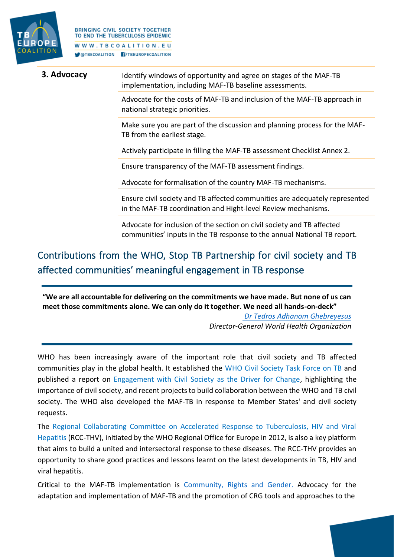

| 3. Advocacy | Identify windows of opportunity and agree on stages of the MAF-TB<br>implementation, including MAF-TB baseline assessments. |
|-------------|-----------------------------------------------------------------------------------------------------------------------------|
|             |                                                                                                                             |

Advocate for the costs of MAF-TB and inclusion of the MAF-TB approach in national strategic priorities.

Make sure you are part of the discussion and planning process for the MAF-TB from the earliest stage.

Actively participate in filling the MAF-TB assessment Checklist Annex 2.

Ensure transparency of the MAF-TB assessment findings.

Advocate for formalisation of the country MAF-TB mechanisms.

Ensure civil society and TB affected communities are adequately represented in the MAF-TB coordination and Hight-level Review mechanisms.

Advocate for inclusion of the section on civil society and TB affected communities' inputs in the TB response to the annual National TB report.

## Contributions from the WHO, Stop TB Partnership for civil society and TB affected communities' meaningful engagement in TB response

**"We are all accountable for delivering on the commitments we have made. But none of us can meet those commitments alone. We can only do it together. We need all hands-on-deck"** 

> *[Dr Tedros Adhanom Ghebreyesus](https://apps.who.int/iris/bitstream/handle/10665/336069/9789240013131-eng.pdf) Director-General World Health Organization*

WHO has been increasingly aware of the important role that civil society and TB affected communities play in the global health. It established the [WHO Civil Society Task Force on TB](https://www.who.int/tb/areas-of-work/community-engagement/who_cstf/en/) and published a report on [Engagement with Civil Society as the Driver for Change,](https://www.who.int/tb/CivilSocietyTaskForce_Progress.pdf) highlighting the importance of civil society, and recent projects to build collaboration between the WHO and TB civil society. The WHO also developed the MAF-TB in response to Member States' and civil society requests.

The [Regional Collaborating Committee on Accelerated Response to Tuberculosis, HIV and Viral](http://www.euro.who.int/__data/assets/pdf_file/0006/396816/Terms-of-reference-for-RCC-FINAL_15.02.19.pdf?ua=1)  [Hepatitis](http://www.euro.who.int/__data/assets/pdf_file/0006/396816/Terms-of-reference-for-RCC-FINAL_15.02.19.pdf?ua=1) (RCC-THV), initiated by the WHO Regional Office for Europe in 2012, is also a key platform that aims to build a united and intersectoral response to these diseases. The RCC-THV provides an opportunity to share good practices and lessons learnt on the latest developments in TB, HIV and viral hepatitis.

Critical to the MAF-TB implementation is [Community, Rights and Gender.](http://www.stoptb.org/communities/) Advocacy for the adaptation and implementation of MAF-TB and the promotion of CRG tools and approaches to the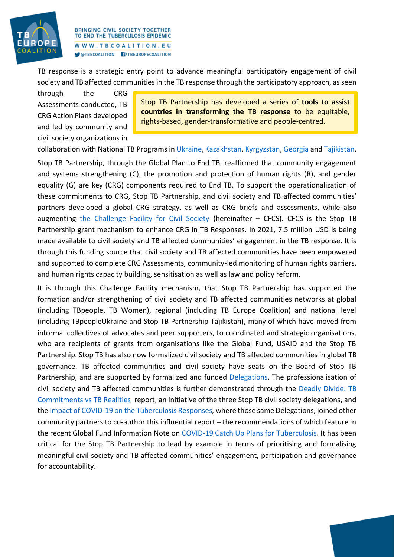

TB response is a strategic entry point to advance meaningful participatory engagement of civil society and TB affected communities in the TB response through the participatory approach, as seen

through the CRG Assessments conducted, TB CRG Action Plans developed and led by community and civil society organizations in

Stop TB Partnership has developed a series of **tools to assist countries in transforming the TB response** to be equitable, rights-based, gender-transformative and people-centred.

collaboration with National TB Programs i[n Ukraine,](http://www.stoptb.org/assets/documents/communities/CRG/TB%20CRG%20Assessment%20Ukraine.pdf) [Kazakhstan,](http://www.stoptb.org/assets/documents/communities/CRG/TB%20CRG%20Assessment%20Report%20-Kazakhstan%20-Eng.pdf) [Kyrgyzstan,](http://www.stoptb.org/assets/documents/communities/CRG/TB%20Gender%20Assessment%20Kyrgyzstan%20%20_%20ENG.pdf) [Georgia](http://www.stoptb.org/assets/documents/communities/CRG/TB%20CRG%20Assessment%20Report-%20Georgia.pdf) an[d Tajikistan.](http://www.stoptb.org/assets/documents/communities/CRG/TB%20CRG%20Assessment%20EECA%20Regional%20Report.pdf)

Stop TB Partnership, through the Global Plan to End TB, reaffirmed that community engagement and systems strengthening (C), the promotion and protection of human rights (R), and gender equality (G) are key (CRG) components required to End TB. To support the operationalization of these commitments to CRG, Stop TB Partnership, and civil society and TB affected communities' partners developed a global CRG strategy, as well as CRG briefs and assessments, while also augmenting [the Challenge Facility for Civil Society](http://www.stoptb.org/global/awards/cfcs/) (hereinafter – CFCS). CFCS is the Stop TB Partnership grant mechanism to enhance CRG in TB Responses. In 2021, 7.5 million USD is being made available to civil society and TB affected communities' engagement in the TB response. It is through this funding source that civil society and TB affected communities have been empowered and supported to complete CRG Assessments, community-led monitoring of human rights barriers, and human rights capacity building, sensitisation as well as law and policy reform.

It is through this Challenge Facility mechanism, that Stop TB Partnership has supported the formation and/or strengthening of civil society and TB affected communities networks at global (including TBpeople, TB Women), regional (including TB Europe Coalition) and national level (including TBpeopleUkraine and Stop TB Partnership Tajikistan), many of which have moved from informal collectives of advocates and peer supporters, to coordinated and strategic organisations, who are recipients of grants from organisations like the Global Fund, USAID and the Stop TB Partnership. Stop TB has also now formalized civil society and TB affected communities in global TB governance. TB affected communities and civil society have seats on the Board of Stop TB Partnership, and are supported by formalized and funded [Delegations.](http://www.stoptb.org/about/cb/delegations.asp) The professionalisation of civil society and TB affected communities is further demonstrated through the [Deadly Divide: TB](http://www.stoptb.org/assets/documents/communities/The%20Deadly%20Divide_TB%20Commitments%20vs%20TB%20Realities%20FINAL%20HLM%20Report.pdf)  [Commitments vs TB Realities](http://www.stoptb.org/assets/documents/communities/The%20Deadly%20Divide_TB%20Commitments%20vs%20TB%20Realities%20FINAL%20HLM%20Report.pdf) report, an initiative of the three Stop TB civil society delegations, and the Impact of COVID-19 [on the Tuberculosis Responses](http://www.stoptb.org/assets/documents/resources/publications/acsm/Civil%20Society%20Report%20on%20TB%20and%20COVID.pdf)*,* where those same Delegations, joined other community partners to co-author this influential report – the recommendations of which feature in the recent Global Fund Information Note on COVID-19 [Catch Up Plans for Tuberculosis.](http://www.stoptb.org/assets/documents/covid/covid19_tuberculosisservicesimpact_guidancenote_en.pdf) It has been critical for the Stop TB Partnership to lead by example in terms of prioritising and formalising meaningful civil society and TB affected communities' engagement, participation and governance for accountability.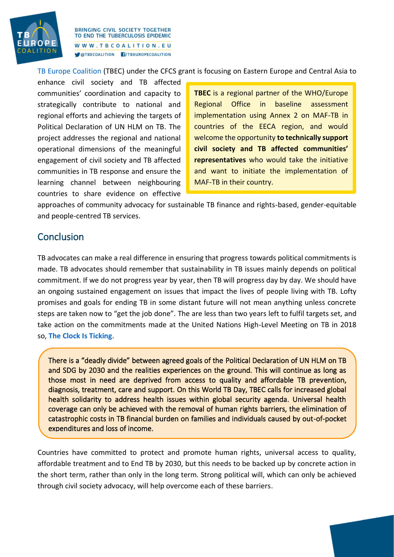

[TB Europe Coalition](https://www.tbcoalition.eu/wp-content/uploads/2020/10/Policy_Brief_COVID-19-%E2%80%93-THE-NEW-REALITY_Rus-1.pdf) [\(TBEC\)](https://www.tbcoalition.eu/) under the CFCS grant is focusing on Eastern Europe and Central Asia to

enhance civil society and TB affected communities' coordination and capacity to strategically contribute to national and regional efforts and achieving the targets of Political Declaration of UN HLM on TB. The project addresses the regional and national operational dimensions of the meaningful engagement of civil society and TB affected communities in TB response and ensure the learning channel between neighbouring countries to share evidence on effective

**TBEC** is a regional partner of the WHO/Europe Regional Office in baseline assessment implementation using Annex 2 on MAF-TB in countries of the EECA region, and would welcome the opportunity **to technically support civil society and TB affected communities' representatives** who would take the initiative and want to initiate the implementation of MAF-TB in their country.

approaches of community advocacy for sustainable TB finance and rights-based, gender-equitable and people-centred TB services.

#### Conclusion

TB advocates can make a real difference in ensuring that progress towards political commitments is made. TB advocates should remember that sustainability in TB issues mainly depends on political commitment. If we do not progress year by year, then TB will progress day by day. We should have an ongoing sustained engagement on issues that impact the lives of people living with TB. Lofty promises and goals for ending TB in some distant future will not mean anything unless concrete steps are taken now to "get the job done". The are less than two years left to fulfil targets set, and take action on the commitments made at the United Nations High-Level Meeting on TB in 2018 so, **[The Clock Is Ticking](http://www.stoptb.org/news/stories/2021/ns21_006.html)**.

There is a "deadly divide" between agreed goals of the Political Declaration of UN HLM on TB and SDG by 2030 and the realities experiences on the ground. This will continue as long as those most in need are deprived from access to quality and affordable TB prevention, diagnosis, treatment, care and support. On this World TB Day, TBEС calls for increased global health solidarity to address health issues within global security agenda. Universal health coverage can only be achieved with the removal of human rights barriers, the elimination of catastrophic costs in TB financial burden on families and individuals caused by out-of-pocket expenditures and loss of income.

Countries have committed to protect and promote human rights, universal access to quality, affordable treatment and to End TB by 2030, but this needs to be backed up by concrete action in the short term, rather than only in the long term. Strong political will, which can only be achieved through civil society advocacy, will help overcome each of these barriers.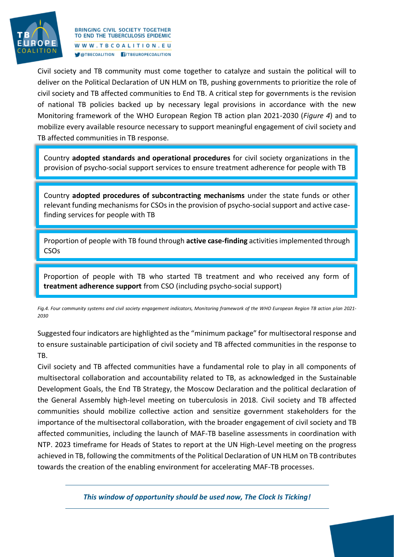

Civil society and TB community must come together to catalyze and sustain the political will to deliver on the Political Declaration of UN HLM on TB, pushing governments to prioritize the role of civil society and TB affected communities to End TB. A critical step for governments is the revision of national TB policies backed up by necessary legal provisions in accordance with the new Monitoring framework of the WHO European Region TB action plan 2021-2030 (*Figure 4*) and to mobilize every available resource necessary to support meaningful engagement of civil society and TB affected communities in TB response.

Country **adopted standards and operational procedures** for civil society organizations in the provision of psycho-social support services to ensure treatment adherence for people with TB

Country **adopted procedures of subcontracting mechanisms** under the state funds or other relevant funding mechanisms for CSOs in the provision of psycho-social support and active casefinding services for people with TB

Proportion of people with TB found through **active case-finding** activities implemented through CSOs

Proportion of people with TB who started TB treatment and who received any form of **treatment adherence support** from CSO (including psycho-social support)

*Fig.4. Four community systems and civil society engagement indicators, Monitoring framework of the WHO European Region TB action plan 2021- 2030* 

Suggested four indicators are highlighted as the "minimum package" for multisectoral response and to ensure sustainable participation of civil society and TB affected communities in the response to TB.

Civil society and TB affected communities have a fundamental role to play in all components of multisectoral collaboration and accountability related to TB, as acknowledged in the Sustainable Development Goals, the End TB Strategy, the Moscow Declaration and the political declaration of the General Assembly high-level meeting on tuberculosis in 2018. Civil society and TB affected communities should mobilize collective action and sensitize government stakeholders for the importance of the multisectoral collaboration, with the broader engagement of civil society and TB affected communities, including the launch of MAF-TB baseline assessments in coordination with NTP. 2023 timeframe for Heads of States to report at the UN High-Level meeting on the progress achieved in TB, following the commitments of the Political Declaration of UN HLM on TB contributes towards the creation of the enabling environment for accelerating MAF-TB processes.

*This window of opportunity should be used now, The Clock Is Ticking!*